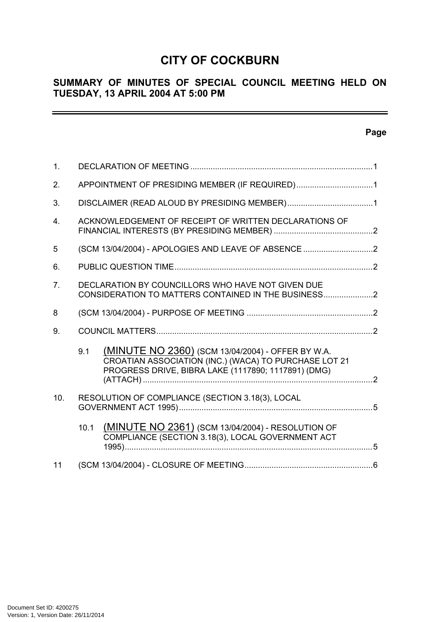## **CITY OF COCKBURN**

## **SUMMARY OF MINUTES OF SPECIAL COUNCIL MEETING HELD ON TUESDAY, 13 APRIL 2004 AT 5:00 PM**

## **Page**

-

| 1.  |                                                                                                          |                                                                                                                                                                   |  |  |  |
|-----|----------------------------------------------------------------------------------------------------------|-------------------------------------------------------------------------------------------------------------------------------------------------------------------|--|--|--|
| 2.  | APPOINTMENT OF PRESIDING MEMBER (IF REQUIRED)1                                                           |                                                                                                                                                                   |  |  |  |
| 3.  |                                                                                                          |                                                                                                                                                                   |  |  |  |
| 4.  | ACKNOWLEDGEMENT OF RECEIPT OF WRITTEN DECLARATIONS OF                                                    |                                                                                                                                                                   |  |  |  |
| 5   | (SCM 13/04/2004) - APOLOGIES AND LEAVE OF ABSENCE 2                                                      |                                                                                                                                                                   |  |  |  |
| 6.  |                                                                                                          |                                                                                                                                                                   |  |  |  |
| 7.  | DECLARATION BY COUNCILLORS WHO HAVE NOT GIVEN DUE<br>CONSIDERATION TO MATTERS CONTAINED IN THE BUSINESS2 |                                                                                                                                                                   |  |  |  |
| 8   |                                                                                                          |                                                                                                                                                                   |  |  |  |
| 9.  |                                                                                                          |                                                                                                                                                                   |  |  |  |
|     | 9.1                                                                                                      | (MINUTE NO 2360) (SCM 13/04/2004) - OFFER BY W.A.<br>CROATIAN ASSOCIATION (INC.) (WACA) TO PURCHASE LOT 21<br>PROGRESS DRIVE, BIBRA LAKE (1117890; 1117891) (DMG) |  |  |  |
| 10. |                                                                                                          | RESOLUTION OF COMPLIANCE (SECTION 3.18(3), LOCAL                                                                                                                  |  |  |  |
|     | 10.1                                                                                                     | (MINUTE NO 2361) (SCM 13/04/2004) - RESOLUTION OF<br>COMPLIANCE (SECTION 3.18(3), LOCAL GOVERNMENT ACT                                                            |  |  |  |
| 11  |                                                                                                          |                                                                                                                                                                   |  |  |  |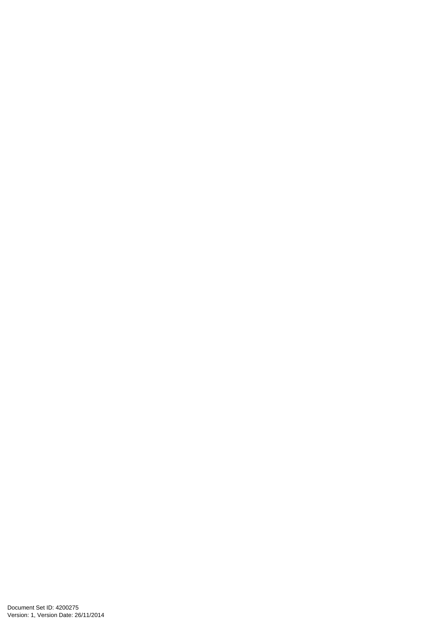Document Set ID: 4200275<br>Version: 1, Version Date: 26/11/2014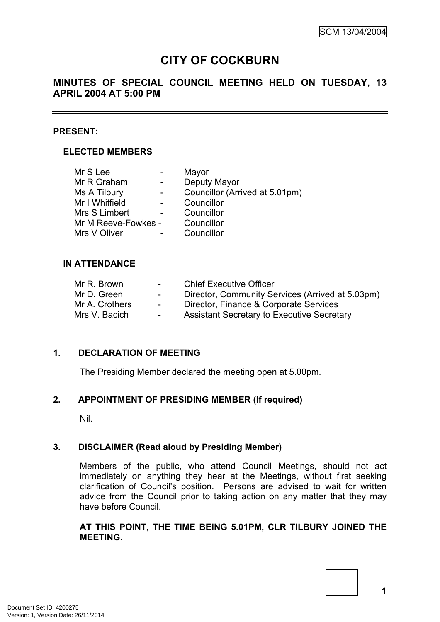# **CITY OF COCKBURN**

## **MINUTES OF SPECIAL COUNCIL MEETING HELD ON TUESDAY, 13 APRIL 2004 AT 5:00 PM**

#### **PRESENT:**

### **ELECTED MEMBERS**

| Mr S Lee            |   | Mayor                          |
|---------------------|---|--------------------------------|
| Mr R Graham         |   | Deputy Mayor                   |
| Ms A Tilbury        |   | Councillor (Arrived at 5.01pm) |
| Mr I Whitfield      |   | Councillor                     |
| Mrs S Limbert       | - | Councillor                     |
| Mr M Reeve-Fowkes - |   | Councillor                     |
| Mrs V Oliver        |   | Councillor                     |
|                     |   |                                |

#### **IN ATTENDANCE**

| $\sim$ 100 $\mu$ | <b>Chief Executive Officer</b>                    |
|------------------|---------------------------------------------------|
| $\sim 100$       | Director, Community Services (Arrived at 5.03pm)  |
| $\sim 100$       | Director, Finance & Corporate Services            |
| $\sim 100$       | <b>Assistant Secretary to Executive Secretary</b> |
|                  |                                                   |

## <span id="page-2-0"></span>**1. DECLARATION OF MEETING**

The Presiding Member declared the meeting open at 5.00pm.

## <span id="page-2-1"></span>**2. APPOINTMENT OF PRESIDING MEMBER (If required)**

Nil.

#### <span id="page-2-2"></span>**3. DISCLAIMER (Read aloud by Presiding Member)**

Members of the public, who attend Council Meetings, should not act immediately on anything they hear at the Meetings, without first seeking clarification of Council's position. Persons are advised to wait for written advice from the Council prior to taking action on any matter that they may have before Council.

#### **AT THIS POINT, THE TIME BEING 5.01PM, CLR TILBURY JOINED THE MEETING.**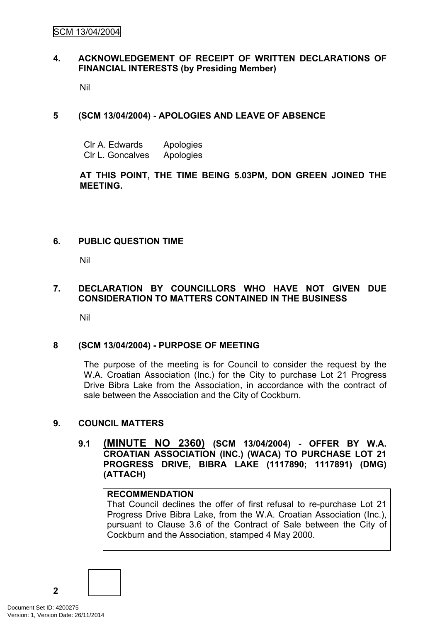## <span id="page-3-0"></span>**4. ACKNOWLEDGEMENT OF RECEIPT OF WRITTEN DECLARATIONS OF FINANCIAL INTERESTS (by Presiding Member)**

Nil

### <span id="page-3-1"></span>**5 (SCM 13/04/2004) - APOLOGIES AND LEAVE OF ABSENCE**

Clr A. Edwards Apologies Clr L. Goncalves Apologies

### **AT THIS POINT, THE TIME BEING 5.03PM, DON GREEN JOINED THE MEETING.**

## <span id="page-3-2"></span>**6. PUBLIC QUESTION TIME**

Nil

## <span id="page-3-3"></span>**7. DECLARATION BY COUNCILLORS WHO HAVE NOT GIVEN DUE CONSIDERATION TO MATTERS CONTAINED IN THE BUSINESS**

Nil

## <span id="page-3-4"></span>**8 (SCM 13/04/2004) - PURPOSE OF MEETING**

The purpose of the meeting is for Council to consider the request by the W.A. Croatian Association (Inc.) for the City to purchase Lot 21 Progress Drive Bibra Lake from the Association, in accordance with the contract of sale between the Association and the City of Cockburn.

## <span id="page-3-5"></span>**9. COUNCIL MATTERS**

#### <span id="page-3-6"></span>**9.1 (MINUTE NO 2360) (SCM 13/04/2004) - OFFER BY W.A. CROATIAN ASSOCIATION (INC.) (WACA) TO PURCHASE LOT 21 PROGRESS DRIVE, BIBRA LAKE (1117890; 1117891) (DMG) (ATTACH)**

#### **RECOMMENDATION**

That Council declines the offer of first refusal to re-purchase Lot 21 Progress Drive Bibra Lake, from the W.A. Croatian Association (Inc.), pursuant to Clause 3.6 of the Contract of Sale between the City of Cockburn and the Association, stamped 4 May 2000.

**2**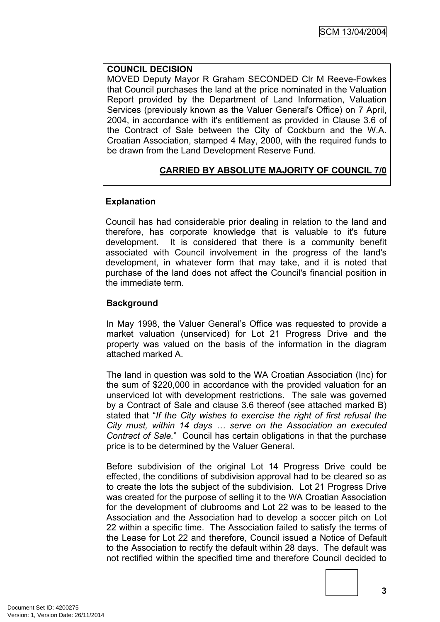## **COUNCIL DECISION**

MOVED Deputy Mayor R Graham SECONDED Clr M Reeve-Fowkes that Council purchases the land at the price nominated in the Valuation Report provided by the Department of Land Information, Valuation Services (previously known as the Valuer General's Office) on 7 April, 2004, in accordance with it's entitlement as provided in Clause 3.6 of the Contract of Sale between the City of Cockburn and the W.A. Croatian Association, stamped 4 May, 2000, with the required funds to be drawn from the Land Development Reserve Fund.

## **CARRIED BY ABSOLUTE MAJORITY OF COUNCIL 7/0**

## **Explanation**

Council has had considerable prior dealing in relation to the land and therefore, has corporate knowledge that is valuable to it's future development. It is considered that there is a community benefit associated with Council involvement in the progress of the land's development, in whatever form that may take, and it is noted that purchase of the land does not affect the Council's financial position in the immediate term.

## **Background**

In May 1998, the Valuer General's Office was requested to provide a market valuation (unserviced) for Lot 21 Progress Drive and the property was valued on the basis of the information in the diagram attached marked A.

The land in question was sold to the WA Croatian Association (Inc) for the sum of \$220,000 in accordance with the provided valuation for an unserviced lot with development restrictions. The sale was governed by a Contract of Sale and clause 3.6 thereof (see attached marked B) stated that "*If the City wishes to exercise the right of first refusal the City must, within 14 days … serve on the Association an executed Contract of Sale.*" Council has certain obligations in that the purchase price is to be determined by the Valuer General.

Before subdivision of the original Lot 14 Progress Drive could be effected, the conditions of subdivision approval had to be cleared so as to create the lots the subject of the subdivision. Lot 21 Progress Drive was created for the purpose of selling it to the WA Croatian Association for the development of clubrooms and Lot 22 was to be leased to the Association and the Association had to develop a soccer pitch on Lot 22 within a specific time. The Association failed to satisfy the terms of the Lease for Lot 22 and therefore, Council issued a Notice of Default to the Association to rectify the default within 28 days. The default was not rectified within the specified time and therefore Council decided to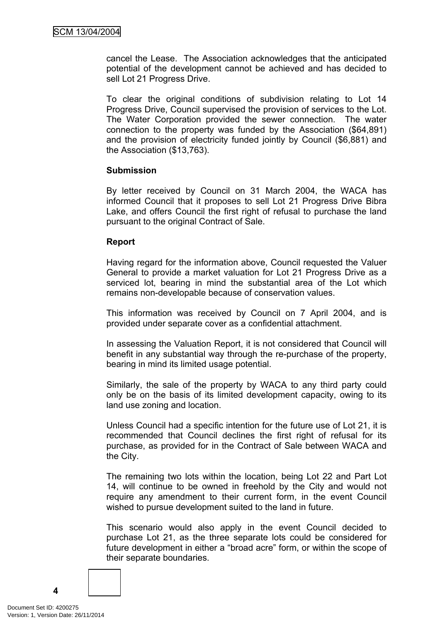cancel the Lease. The Association acknowledges that the anticipated potential of the development cannot be achieved and has decided to sell Lot 21 Progress Drive.

To clear the original conditions of subdivision relating to Lot 14 Progress Drive, Council supervised the provision of services to the Lot. The Water Corporation provided the sewer connection. The water connection to the property was funded by the Association (\$64,891) and the provision of electricity funded jointly by Council (\$6,881) and the Association (\$13,763).

#### **Submission**

By letter received by Council on 31 March 2004, the WACA has informed Council that it proposes to sell Lot 21 Progress Drive Bibra Lake, and offers Council the first right of refusal to purchase the land pursuant to the original Contract of Sale.

#### **Report**

Having regard for the information above, Council requested the Valuer General to provide a market valuation for Lot 21 Progress Drive as a serviced lot, bearing in mind the substantial area of the Lot which remains non-developable because of conservation values.

This information was received by Council on 7 April 2004, and is provided under separate cover as a confidential attachment.

In assessing the Valuation Report, it is not considered that Council will benefit in any substantial way through the re-purchase of the property, bearing in mind its limited usage potential.

Similarly, the sale of the property by WACA to any third party could only be on the basis of its limited development capacity, owing to its land use zoning and location.

Unless Council had a specific intention for the future use of Lot 21, it is recommended that Council declines the first right of refusal for its purchase, as provided for in the Contract of Sale between WACA and the City.

The remaining two lots within the location, being Lot 22 and Part Lot 14, will continue to be owned in freehold by the City and would not require any amendment to their current form, in the event Council wished to pursue development suited to the land in future.

This scenario would also apply in the event Council decided to purchase Lot 21, as the three separate lots could be considered for future development in either a "broad acre" form, or within the scope of their separate boundaries.

**4**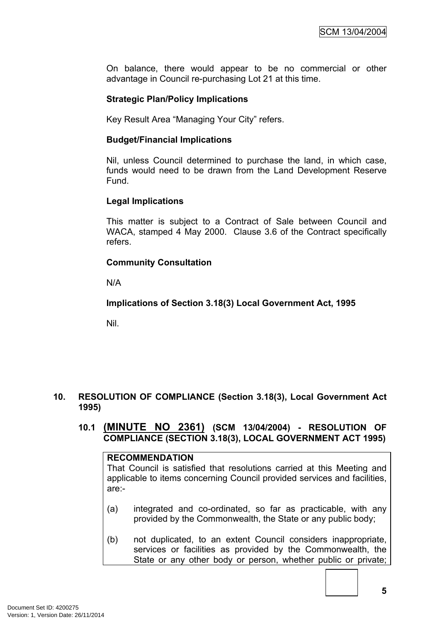On balance, there would appear to be no commercial or other advantage in Council re-purchasing Lot 21 at this time.

#### **Strategic Plan/Policy Implications**

Key Result Area "Managing Your City" refers.

#### **Budget/Financial Implications**

Nil, unless Council determined to purchase the land, in which case, funds would need to be drawn from the Land Development Reserve Fund.

#### **Legal Implications**

This matter is subject to a Contract of Sale between Council and WACA, stamped 4 May 2000. Clause 3.6 of the Contract specifically refers.

#### **Community Consultation**

N/A

#### **Implications of Section 3.18(3) Local Government Act, 1995**

Nil.

## <span id="page-6-0"></span>**10. RESOLUTION OF COMPLIANCE (Section 3.18(3), Local Government Act 1995)**

<span id="page-6-1"></span>**10.1 (MINUTE NO 2361) (SCM 13/04/2004) - RESOLUTION OF COMPLIANCE (SECTION 3.18(3), LOCAL GOVERNMENT ACT 1995)**

#### **RECOMMENDATION**

That Council is satisfied that resolutions carried at this Meeting and applicable to items concerning Council provided services and facilities, are:-

- (a) integrated and co-ordinated, so far as practicable, with any provided by the Commonwealth, the State or any public body;
- (b) not duplicated, to an extent Council considers inappropriate, services or facilities as provided by the Commonwealth, the State or any other body or person, whether public or private;